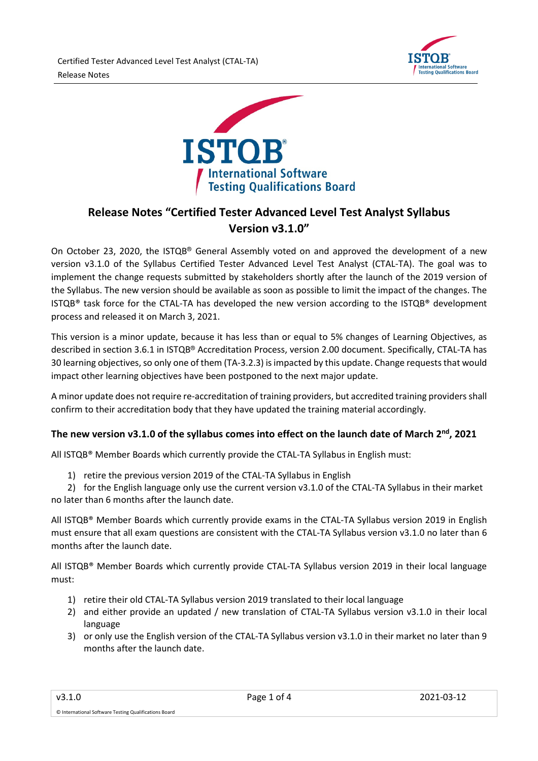



# **Release Notes "Certified Tester Advanced Level Test Analyst Syllabus Version v3.1.0"**

On October 23, 2020, the ISTQB® General Assembly voted on and approved the development of a new version v3.1.0 of the Syllabus Certified Tester Advanced Level Test Analyst (CTAL-TA). The goal was to implement the change requests submitted by stakeholders shortly after the launch of the 2019 version of the Syllabus. The new version should be available as soon as possible to limit the impact of the changes. The ISTQB® task force for the CTAL-TA has developed the new version according to the ISTQB® development process and released it on March 3, 2021.

This version is a minor update, because it has less than or equal to 5% changes of Learning Objectives, as described in section 3.6.1 in ISTQB® Accreditation Process, version 2.00 document. Specifically, CTAL-TA has 30 learning objectives, so only one of them (TA-3.2.3) is impacted by this update. Change requests that would impact other learning objectives have been postponed to the next major update.

A minor update does not require re-accreditation of training providers, but accredited training providers shall confirm to their accreditation body that they have updated the training material accordingly.

## **The new version v3.1.0 of the syllabus comes into effect on the launch date of March 2nd, 2021**

All ISTQB® Member Boards which currently provide the CTAL-TA Syllabus in English must:

1) retire the previous version 2019 of the CTAL-TA Syllabus in English

2) for the English language only use the current version v3.1.0 of the CTAL-TA Syllabus in their market no later than 6 months after the launch date.

All ISTQB® Member Boards which currently provide exams in the CTAL-TA Syllabus version 2019 in English must ensure that all exam questions are consistent with the CTAL-TA Syllabus version v3.1.0 no later than 6 months after the launch date.

All ISTQB® Member Boards which currently provide CTAL-TA Syllabus version 2019 in their local language must:

- 1) retire their old CTAL-TA Syllabus version 2019 translated to their local language
- 2) and either provide an updated / new translation of CTAL-TA Syllabus version v3.1.0 in their local language
- 3) or only use the English version of the CTAL-TA Syllabus version v3.1.0 in their market no later than 9 months after the launch date.

© International Software Testing Qualifications Board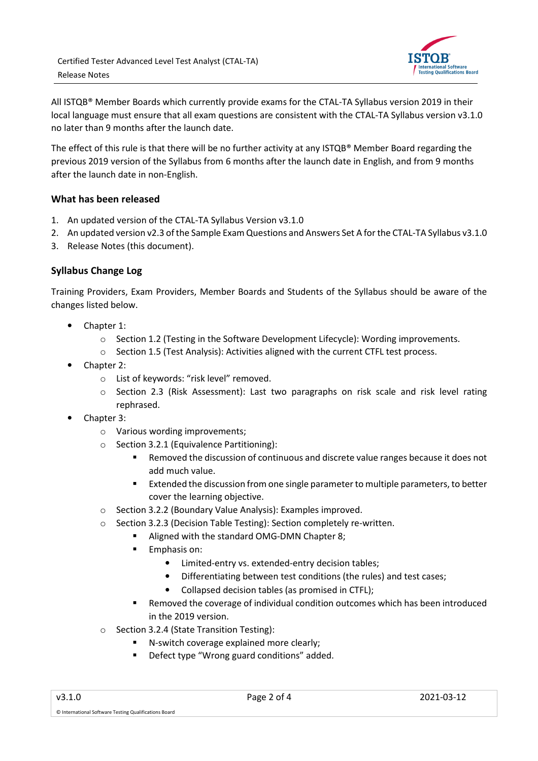

All ISTQB® Member Boards which currently provide exams for the CTAL-TA Syllabus version 2019 in their local language must ensure that all exam questions are consistent with the CTAL-TA Syllabus version v3.1.0 no later than 9 months after the launch date.

The effect of this rule is that there will be no further activity at any ISTQB® Member Board regarding the previous 2019 version of the Syllabus from 6 months after the launch date in English, and from 9 months after the launch date in non-English.

### **What has been released**

- 1. An updated version of the CTAL-TA Syllabus Version v3.1.0
- 2. An updated version v2.3 of the Sample Exam Questions and Answers Set A for the CTAL-TA Syllabus v3.1.0
- 3. Release Notes (this document).

### **Syllabus Change Log**

Training Providers, Exam Providers, Member Boards and Students of the Syllabus should be aware of the changes listed below.

- Chapter 1:
	- o Section 1.2 (Testing in the Software Development Lifecycle): Wording improvements.
	- o Section 1.5 (Test Analysis): Activities aligned with the current CTFL test process.
- Chapter 2:
	- o List of keywords: "risk level" removed.
	- o Section 2.3 (Risk Assessment): Last two paragraphs on risk scale and risk level rating rephrased.
- Chapter 3:
	- o Various wording improvements;
	- o Section 3.2.1 (Equivalence Partitioning):
		- Removed the discussion of continuous and discrete value ranges because it does not add much value.
		- **Extended the discussion from one single parameter to multiple parameters, to better** cover the learning objective.
	- o Section 3.2.2 (Boundary Value Analysis): Examples improved.
	- o Section 3.2.3 (Decision Table Testing): Section completely re-written.
		- Aligned with the standard OMG-DMN Chapter 8;
			- **Emphasis on:** 
				- Limited-entry vs. extended-entry decision tables;
				- Differentiating between test conditions (the rules) and test cases;
				- Collapsed decision tables (as promised in CTFL);
			- Removed the coverage of individual condition outcomes which has been introduced in the 2019 version.
	- o Section 3.2.4 (State Transition Testing):
		- N-switch coverage explained more clearly;
		- **Defect type "Wrong guard conditions" added.**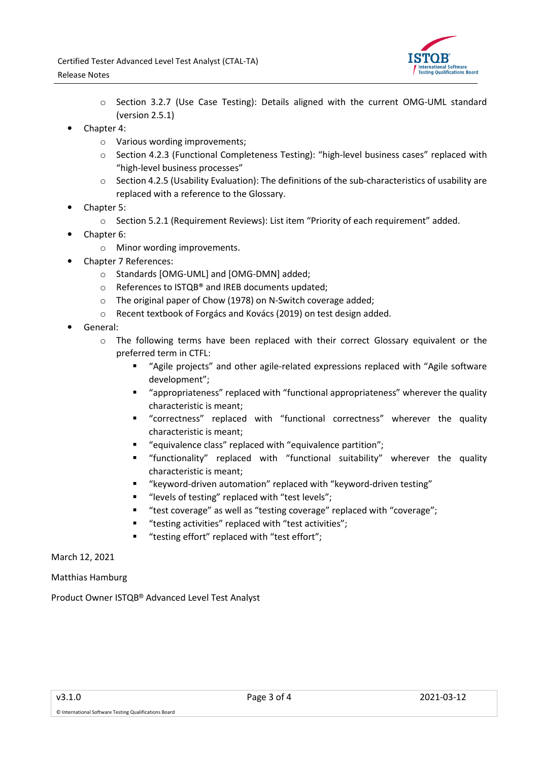

- o Section 3.2.7 (Use Case Testing): Details aligned with the current OMG-UML standard (version 2.5.1)
- Chapter 4:
	- o Various wording improvements;
	- $\circ$  Section 4.2.3 (Functional Completeness Testing): "high-level business cases" replaced with "high-level business processes"
	- o Section 4.2.5 (Usability Evaluation): The definitions of the sub-characteristics of usability are replaced with a reference to the Glossary.
- Chapter 5:
	- o Section 5.2.1 (Requirement Reviews): List item "Priority of each requirement" added.
- Chapter 6:
	- o Minor wording improvements.
- Chapter 7 References:
	- o Standards [OMG-UML] and [OMG-DMN] added;
	- o References to ISTQB® and IREB documents updated;
	- o The original paper of Chow (1978) on N-Switch coverage added;
	- o Recent textbook of Forgács and Kovács (2019) on test design added.
- General:
	- o The following terms have been replaced with their correct Glossary equivalent or the preferred term in CTFL:
		- "Agile projects" and other agile-related expressions replaced with "Agile software development";
		- "appropriateness" replaced with "functional appropriateness" wherever the quality characteristic is meant;
		- "correctness" replaced with "functional correctness" wherever the quality characteristic is meant;
		- "equivalence class" replaced with "equivalence partition";
		- "functionality" replaced with "functional suitability" wherever the quality characteristic is meant;
		- "keyword-driven automation" replaced with "keyword-driven testing"
		- "levels of testing" replaced with "test levels";
		- "test coverage" as well as "testing coverage" replaced with "coverage";
		- "testing activities" replaced with "test activities";
		- "testing effort" replaced with "test effort";

March 12, 2021

Matthias Hamburg

Product Owner ISTQB® Advanced Level Test Analyst